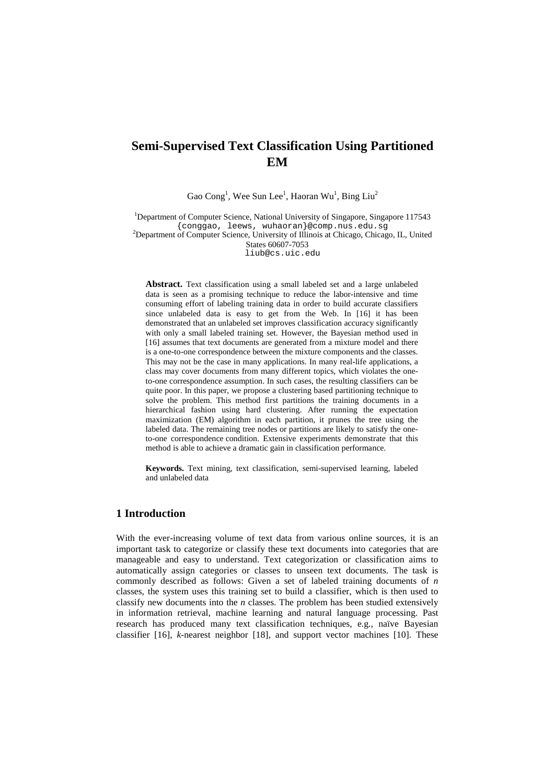# **Semi-Supervised Text Classification Using Partitioned EM**

Gao Cong<sup>1</sup>, Wee Sun Lee<sup>1</sup>, Haoran Wu<sup>1</sup>, Bing Liu<sup>2</sup>

<sup>1</sup>Department of Computer Science, National University of Singapore, Singapore 117543 {conggao, leews, wuhaoran}@comp.nus.edu.sg

<sup>2</sup>Department of Computer Science, University of Illinois at Chicago, Chicago, IL, United States 60607-7053

liub@cs.uic.edu

**Abstract.** Text classification using a small labeled set and a large unlabeled data is seen as a promising technique to reduce the labor-intensive and time consuming effort of labeling training data in order to build accurate classifiers since unlabeled data is easy to get from the Web. In [16] it has been demonstrated that an unlabeled set improves classification accuracy significantly with only a small labeled training set. However, the Bayesian method used in [16] assumes that text documents are generated from a mixture model and there is a one-to-one correspondence between the mixture components and the classes. This may not be the case in many applications. In many real-life applications, a class may cover documents from many different topics, which violates the oneto-one correspondence assumption. In such cases, the resulting classifiers can be quite poor. In this paper, we propose a clustering based partitioning technique to solve the problem. This method first partitions the training documents in a hierarchical fashion using hard clustering. After running the expectation maximization (EM) algorithm in each partition, it prunes the tree using the labeled data. The remaining tree nodes or partitions are likely to satisfy the oneto-one correspondence condition. Extensive experiments demonstrate that this method is able to achieve a dramatic gain in classification performance.

**Keywords.** Text mining, text classification, semi-supervised learning, labeled and unlabeled data

# **1 Introduction**

With the ever-increasing volume of text data from various online sources, it is an important task to categorize or classify these text documents into categories that are manageable and easy to understand. Text categorization or classification aims to automatically assign categories or classes to unseen text documents. The task is commonly described as follows: Given a set of labeled training documents of *n* classes, the system uses this training set to build a classifier, which is then used to classify new documents into the *n* classes. The problem has been studied extensively in information retrieval, machine learning and natural language processing. Past research has produced many text classification techniques, e.g., naïve Bayesian classifier [16], *k*-nearest neighbor [18], and support vector machines [10]. These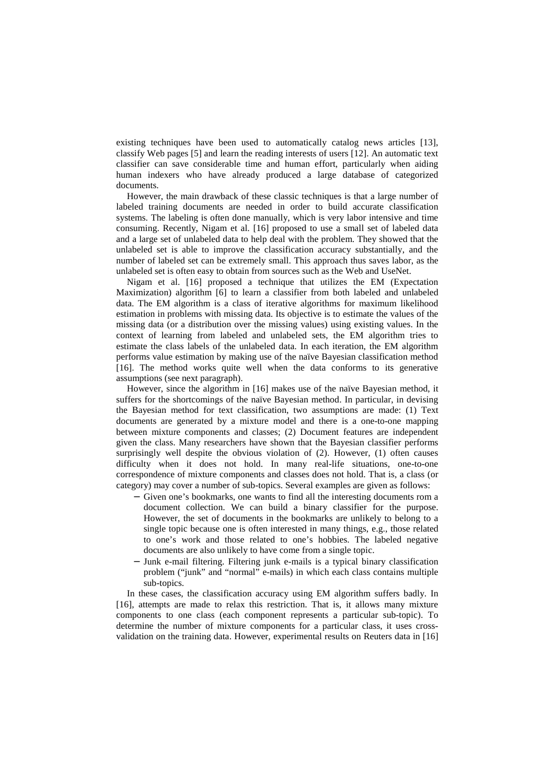existing techniques have been used to automatically catalog news articles [13], classify Web pages [5] and learn the reading interests of users [12]. An automatic text classifier can save considerable time and human effort, particularly when aiding human indexers who have already produced a large database of categorized documents.

However, the main drawback of these classic techniques is that a large number of labeled training documents are needed in order to build accurate classification systems. The labeling is often done manually, which is very labor intensive and time consuming. Recently, Nigam et al. [16] proposed to use a small set of labeled data and a large set of unlabeled data to help deal with the problem. They showed that the unlabeled set is able to improve the classification accuracy substantially, and the number of labeled set can be extremely small. This approach thus saves labor, as the unlabeled set is often easy to obtain from sources such as the Web and UseNet.

Nigam et al. [16] proposed a technique that utilizes the EM (Expectation Maximization) algorithm [6] to learn a classifier from both labeled and unlabeled data. The EM algorithm is a class of iterative algorithms for maximum likelihood estimation in problems with missing data. Its objective is to estimate the values of the missing data (or a distribution over the missing values) using existing values. In the context of learning from labeled and unlabeled sets, the EM algorithm tries to estimate the class labels of the unlabeled data. In each iteration, the EM algorithm performs value estimation by making use of the naïve Bayesian classification method [16]. The method works quite well when the data conforms to its generative assumptions (see next paragraph).

However, since the algorithm in [16] makes use of the naïve Bayesian method, it suffers for the shortcomings of the naïve Bayesian method. In particular, in devising the Bayesian method for text classification, two assumptions are made: (1) Text documents are generated by a mixture model and there is a one-to-one mapping between mixture components and classes; (2) Document features are independent given the class. Many researchers have shown that the Bayesian classifier performs surprisingly well despite the obvious violation of (2). However, (1) often causes difficulty when it does not hold. In many real-life situations, one-to-one correspondence of mixture components and classes does not hold. That is, a class (or category) may cover a number of sub-topics. Several examples are given as follows:

- − Given one's bookmarks, one wants to find all the interesting documents rom a document collection. We can build a binary classifier for the purpose. However, the set of documents in the bookmarks are unlikely to belong to a single topic because one is often interested in many things, e.g., those related to one's work and those related to one's hobbies. The labeled negative documents are also unlikely to have come from a single topic.
- − Junk e-mail filtering. Filtering junk e-mails is a typical binary classification problem ("junk" and "normal" e-mails) in which each class contains multiple sub-topics.

In these cases, the classification accuracy using EM algorithm suffers badly. In [16], attempts are made to relax this restriction. That is, it allows many mixture components to one class (each component represents a particular sub-topic). To determine the number of mixture components for a particular class, it uses crossvalidation on the training data. However, experimental results on Reuters data in [16]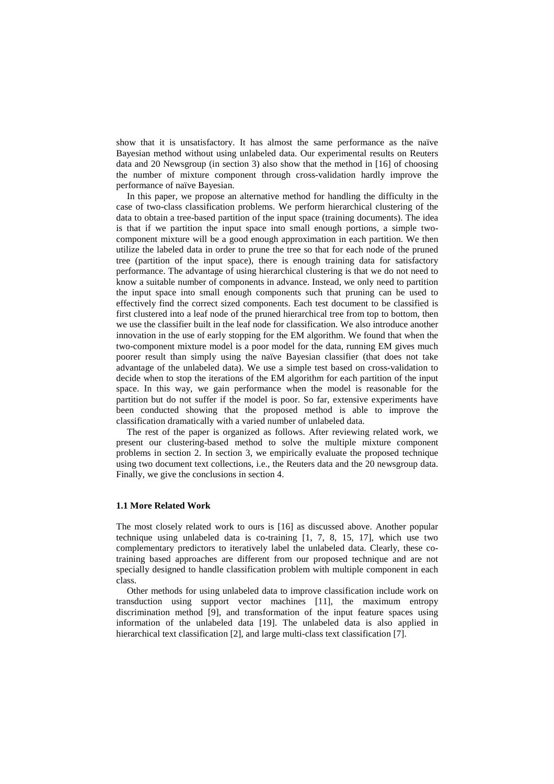show that it is unsatisfactory. It has almost the same performance as the naïve Bayesian method without using unlabeled data. Our experimental results on Reuters data and 20 Newsgroup (in section 3) also show that the method in [16] of choosing the number of mixture component through cross-validation hardly improve the performance of naïve Bayesian.

In this paper, we propose an alternative method for handling the difficulty in the case of two-class classification problems. We perform hierarchical clustering of the data to obtain a tree-based partition of the input space (training documents). The idea is that if we partition the input space into small enough portions, a simple twocomponent mixture will be a good enough approximation in each partition. We then utilize the labeled data in order to prune the tree so that for each node of the pruned tree (partition of the input space), there is enough training data for satisfactory performance. The advantage of using hierarchical clustering is that we do not need to know a suitable number of components in advance. Instead, we only need to partition the input space into small enough components such that pruning can be used to effectively find the correct sized components. Each test document to be classified is first clustered into a leaf node of the pruned hierarchical tree from top to bottom, then we use the classifier built in the leaf node for classification. We also introduce another innovation in the use of early stopping for the EM algorithm. We found that when the two-component mixture model is a poor model for the data, running EM gives much poorer result than simply using the naïve Bayesian classifier (that does not take advantage of the unlabeled data). We use a simple test based on cross-validation to decide when to stop the iterations of the EM algorithm for each partition of the input space. In this way, we gain performance when the model is reasonable for the partition but do not suffer if the model is poor. So far, extensive experiments have been conducted showing that the proposed method is able to improve the classification dramatically with a varied number of unlabeled data.

The rest of the paper is organized as follows. After reviewing related work, we present our clustering-based method to solve the multiple mixture component problems in section 2. In section 3, we empirically evaluate the proposed technique using two document text collections, i.e., the Reuters data and the 20 newsgroup data. Finally, we give the conclusions in section 4.

#### **1.1 More Related Work**

The most closely related work to ours is [16] as discussed above. Another popular technique using unlabeled data is co-training [1, 7, 8, 15, 17], which use two complementary predictors to iteratively label the unlabeled data. Clearly, these cotraining based approaches are different from our proposed technique and are not specially designed to handle classification problem with multiple component in each class.

Other methods for using unlabeled data to improve classification include work on transduction using support vector machines [11], the maximum entropy discrimination method [9], and transformation of the input feature spaces using information of the unlabeled data [19]. The unlabeled data is also applied in hierarchical text classification [2], and large multi-class text classification [7].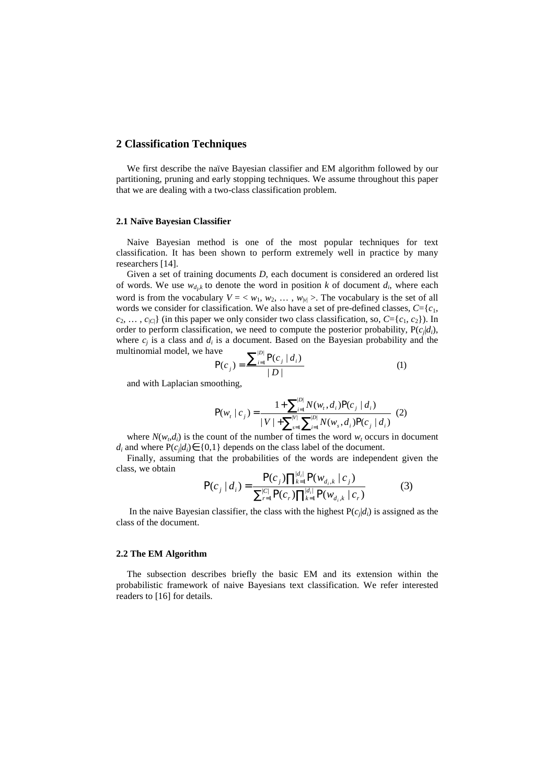## **2 Classification Techniques**

We first describe the naïve Bayesian classifier and EM algorithm followed by our partitioning, pruning and early stopping techniques. We assume throughout this paper that we are dealing with a two-class classification problem.

#### **2.1 Naïve Bayesian Classifier**

Naive Bayesian method is one of the most popular techniques for text classification. It has been shown to perform extremely well in practice by many researchers [14].

Given a set of training documents *D*, each document is considered an ordered list of words. We use  $w_{d_i k}$  to denote the word in position *k* of document  $d_i$ , where each word is from the vocabulary  $V = \langle w_1, w_2, \dots, w_{|v|} \rangle$ . The vocabulary is the set of all words we consider for classification. We also have a set of pre-defined classes, *C*={*c*1,  $c_2, \ldots, c_{|C|}$  (in this paper we only consider two class classification, so,  $C = \{c_1, c_2\}$ ). In order to perform classification, we need to compute the posterior probability, P(*c<sup>j</sup>* |*di*), where  $c_j$  is a class and  $d_i$  is a document. Based on the Bayesian probability and the multinomial model, we have  $|D|$ 

$$
\mathbf{P}(c_j) = \frac{\sum_{i=1}^{|D|} \mathbf{P}(c_j \mid d_i)}{|D|} \tag{1}
$$

and with Laplacian smoothing,

$$
P(w_t | c_j) = \frac{1 + \sum_{i=1}^{|D|} N(w_t, d_i) P(c_j | d_i)}{|V| + \sum_{s=1}^{|V|} \sum_{i=1}^{|D|} N(w_s, d_i) P(c_j | d_i)}
$$
(2)

where  $N(w_t, d_i)$  is the count of the number of times the word  $w_t$  occurs in document *d*<sup>*i*</sup> and where P( $c_j$ |*d*<sup>*i*</sup>)∈ {0,1} depends on the class label of the document.

Finally, assuming that the probabilities of the words are independent given the class, we obtain

$$
P(c_j | d_i) = \frac{P(c_j) \prod_{k=1}^{|d_i|} P(w_{d_i,k} | c_j)}{\sum_{r=1}^{|C|} P(c_r) \prod_{k=1}^{|d_i|} P(w_{d_i,k} | c_r)}
$$
(3)

In the naive Bayesian classifier, the class with the highest  $P(c_j|d_i)$  is assigned as the class of the document.

## **2.2 The EM Algorithm**

The subsection describes briefly the basic EM and its extension within the probabilistic framework of naive Bayesians text classification. We refer interested readers to [16] for details.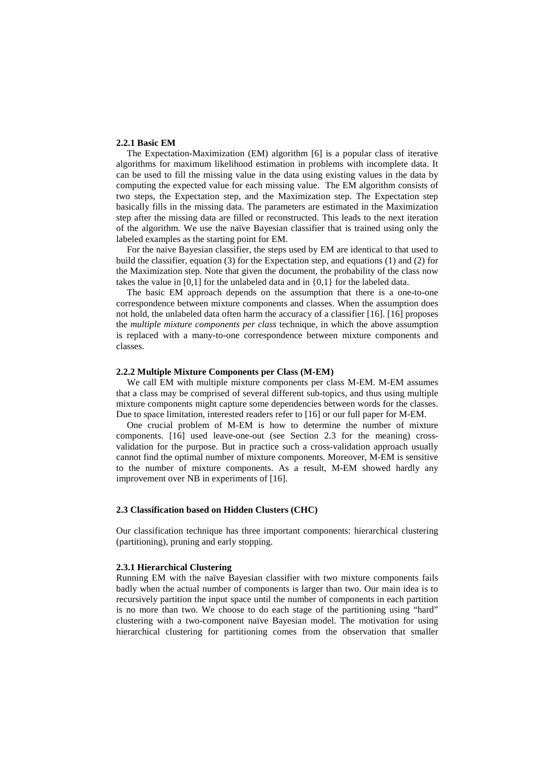## **2.2.1 Basic EM**

The Expectation-Maximization (EM) algorithm [6] is a popular class of iterative algorithms for maximum likelihood estimation in problems with incomplete data. It can be used to fill the missing value in the data using existing values in the data by computing the expected value for each missing value. The EM algorithm consists of two steps, the Expectation step, and the Maximization step. The Expectation step basically fills in the missing data. The parameters are estimated in the Maximization step after the missing data are filled or reconstructed. This leads to the next iteration of the algorithm. We use the naïve Bayesian classifier that is trained using only the labeled examples as the starting point for EM.

For the naive Bayesian classifier, the steps used by EM are identical to that used to build the classifier, equation (3) for the Expectation step, and equations (1) and (2) for the Maximization step. Note that given the document, the probability of the class now takes the value in [0,1] for the unlabeled data and in {0,1} for the labeled data.

The basic EM approach depends on the assumption that there is a one-to-one correspondence between mixture components and classes. When the assumption does not hold, the unlabeled data often harm the accuracy of a classifier [16]. [16] proposes the *multiple mixture components per class* technique, in which the above assumption is replaced with a many-to-one correspondence between mixture components and classes.

#### **2.2.2 Multiple Mixture Components per Class (M-EM)**

We call EM with multiple mixture components per class M-EM. M-EM assumes that a class may be comprised of several different sub-topics, and thus using multiple mixture components might capture some dependencies between words for the classes. Due to space limitation, interested readers refer to [16] or our full paper for M-EM.

One crucial problem of M-EM is how to determine the number of mixture components. [16] used leave-one-out (see Section 2.3 for the meaning) crossvalidation for the purpose. But in practice such a cross-validation approach usually cannot find the optimal number of mixture components. Moreover, M-EM is sensitive to the number of mixture components. As a result, M-EM showed hardly any improvement over NB in experiments of [16].

#### **2.3 Classification based on Hidden Clusters (CHC)**

Our classification technique has three important components: hierarchical clustering (partitioning), pruning and early stopping.

#### **2.3.1 Hierarchical Clustering**

Running EM with the naïve Bayesian classifier with two mixture components fails badly when the actual number of components is larger than two. Our main idea is to recursively partition the input space until the number of components in each partition is no more than two. We choose to do each stage of the partitioning using "hard" clustering with a two-component naïve Bayesian model. The motivation for using hierarchical clustering for partitioning comes from the observation that smaller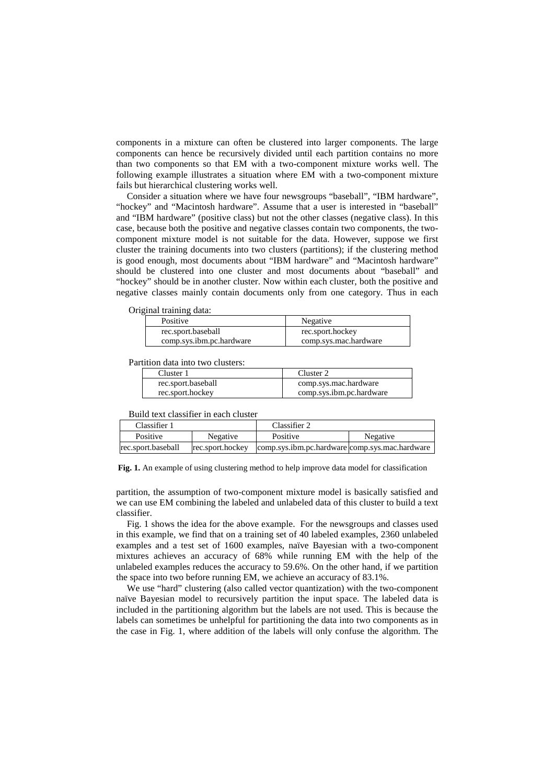components in a mixture can often be clustered into larger components. The large components can hence be recursively divided until each partition contains no more than two components so that EM with a two-component mixture works well. The following example illustrates a situation where EM with a two-component mixture fails but hierarchical clustering works well.

Consider a situation where we have four newsgroups "baseball", "IBM hardware", "hockey" and "Macintosh hardware". Assume that a user is interested in "baseball" and "IBM hardware" (positive class) but not the other classes (negative class). In this case, because both the positive and negative classes contain two components, the twocomponent mixture model is not suitable for the data. However, suppose we first cluster the training documents into two clusters (partitions); if the clustering method is good enough, most documents about "IBM hardware" and "Macintosh hardware" should be clustered into one cluster and most documents about "baseball" and " hockey" should be in another cluster. Now within each cluster, both the positive and negative classes mainly contain documents only from one category. Thus in each

Original training data:

| Positive                 | Negative              |
|--------------------------|-----------------------|
| rec.sport.baseball       | rec.sport.hockey      |
| comp.sys.ibm.pc.hardware | comp.sys.mac.hardware |

Partition data into two clusters:

| Cluster 1          | Cluster 2                |
|--------------------|--------------------------|
| rec.sport.baseball | comp.sys.mac.hardware    |
| rec.sport.hockey   | comp.sys.ibm.pc.hardware |

Build text classifier in each cluster

| Classifier 1       |                  | Classifier 2                                   |          |
|--------------------|------------------|------------------------------------------------|----------|
| Positive           | Negative         | Positive                                       | Negative |
| rec.sport.baseball | rec.sport.hockey | comp.sys.ibm.pc.hardware.comp.sys.mac.hardware |          |

**Fig. 1.** An example of using clustering method to help improve data model for classification

partition, the assumption of two-component mixture model is basically satisfied and we can use EM combining the labeled and unlabeled data of this cluster to build a text classifier.

Fig. 1 shows the idea for the above example. For the newsgroups and classes used in this example, we find that on a training set of 40 labeled examples, 2360 unlabeled examples and a test set of 1600 examples, naïve Bayesian with a two-component mixtures achieves an accuracy of 68% while running EM with the help of the unlabeled examples reduces the accuracy to 59.6%. On the other hand, if we partition the space into two before running EM, we achieve an accuracy of 83.1%.

We use "hard" clustering (also called vector quantization) with the two-component naïve Bayesian model to recursively partition the input space. The labeled data is included in the partitioning algorithm but the labels are not used. This is because the labels can sometimes be unhelpful for partitioning the data into two components as in the case in Fig. 1, where addition of the labels will only confuse the algorithm. The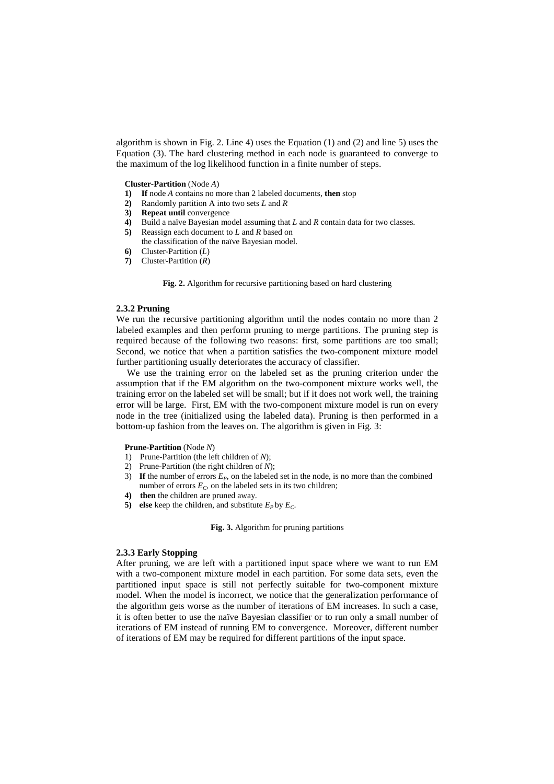algorithm is shown in Fig. 2. Line 4) uses the Equation (1) and (2) and line 5) uses the Equation (3). The hard clustering method in each node is guaranteed to converge to the maximum of the log likelihood function in a finite number of steps.

#### **Cluster-Partition** (Node *A*)

- **1) If** node *A* contains no more than 2 labeled documents, **then** stop
- **2)** Randomly partition A into two sets *L* and *R*
- **3) Repeat until** convergence
- **4)** Build a naïve Bayesian model assuming that *L* and *R* contain data for two classes.
- **5)** Reassign each document to *L* and *R* based on the classification of the naïve Bayesian model.
- **6)** Cluster-Partition (*L*)
- **7)** Cluster-Partition (*R*)

**Fig. 2.** Algorithm for recursive partitioning based on hard clustering

#### **2.3.2 Pruning**

We run the recursive partitioning algorithm until the nodes contain no more than 2 labeled examples and then perform pruning to merge partitions. The pruning step is required because of the following two reasons: first, some partitions are too small; Second, we notice that when a partition satisfies the two-component mixture model further partitioning usually deteriorates the accuracy of classifier.

We use the training error on the labeled set as the pruning criterion under the assumption that if the EM algorithm on the two-component mixture works well, the training error on the labeled set will be small; but if it does not work well, the training error will be large. First, EM with the two-component mixture model is run on every node in the tree (initialized using the labeled data). Pruning is then performed in a bottom-up fashion from the leaves on. The algorithm is given in Fig. 3:

#### **Prune-Partition** (Node *N*)

- 1) Prune-Partition (the left children of *N*);
- 2) Prune-Partition (the right children of *N*);
- 3) If the number of errors  $E_p$ , on the labeled set in the node, is no more than the combined number of errors  $E_C$ , on the labeled sets in its two children;
- **4) then** the children are pruned away.
- **5) else** keep the children, and substitute  $E_P$  by  $E_C$ .

## **Fig. 3.** Algorithm for pruning partitions

#### **2.3.3 Early Stopping**

After pruning, we are left with a partitioned input space where we want to run EM with a two-component mixture model in each partition. For some data sets, even the partitioned input space is still not perfectly suitable for two-component mixture model. When the model is incorrect, we notice that the generalization performance of the algorithm gets worse as the number of iterations of EM increases. In such a case, it is often better to use the naïve Bayesian classifier or to run only a small number of iterations of EM instead of running EM to convergence. Moreover, different number of iterations of EM may be required for different partitions of the input space.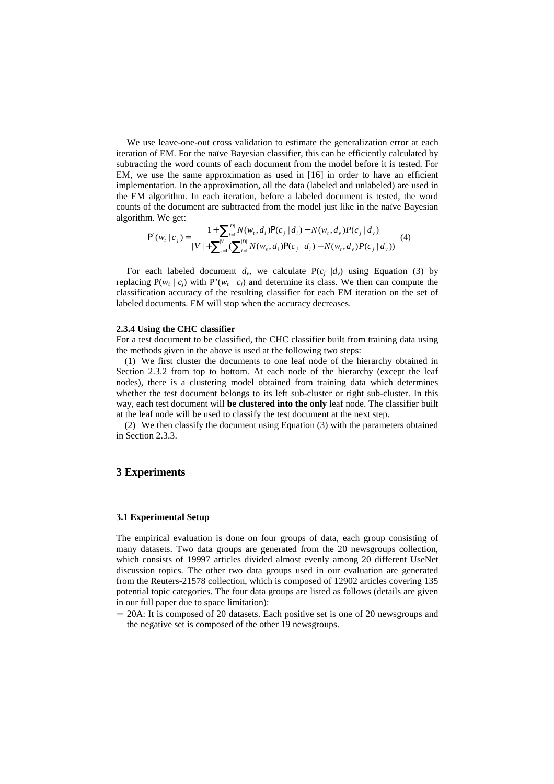We use leave-one-out cross validation to estimate the generalization error at each iteration of EM. For the naïve Bayesian classifier, this can be efficiently calculated by subtracting the word counts of each document from the model before it is tested. For EM, we use the same approximation as used in [16] in order to have an efficient implementation. In the approximation, all the data (labeled and unlabeled) are used in the EM algorithm. In each iteration, before a labeled document is tested, the word counts of the document are subtracted from the model just like in the naïve Bayesian algorithm. We get:

$$
P'(w_t | c_j) = \frac{1 + \sum_{i=1}^{|D|} N(w_t, d_i) P(c_j | d_i) - N(w_t, d_v) P(c_j | d_v)}{|V| + \sum_{s=1}^{|V|} (\sum_{i=1}^{|D|} N(w_s, d_i) P(c_j | d_i) - N(w_t, d_v) P(c_j | d_v))}
$$
(4)

For each labeled document  $d_v$ , we calculate  $P(c_j | d_v)$  using Equation (3) by replacing  $P(w_t | c_j)$  with  $P'(w_t | c_j)$  and determine its class. We then can compute the classification accuracy of the resulting classifier for each EM iteration on the set of labeled documents. EM will stop when the accuracy decreases.

#### **2.3.4 Using the CHC classifier**

For a test document to be classified, the CHC classifier built from training data using the methods given in the above is used at the following two steps:

(1) We first cluster the documents to one leaf node of the hierarchy obtained in Section 2.3.2 from top to bottom. At each node of the hierarchy (except the leaf nodes), there is a clustering model obtained from training data which determines whether the test document belongs to its left sub-cluster or right sub-cluster. In this way, each test document will **be clustered into the only** leaf node. The classifier built at the leaf node will be used to classify the test document at the next step.

(2) We then classify the document using Equation (3) with the parameters obtained in Section 2.3.3.

## **3 Experiments**

#### **3.1 Experimental Setup**

The empirical evaluation is done on four groups of data, each group consisting of many datasets. Two data groups are generated from the 20 newsgroups collection, which consists of 19997 articles divided almost evenly among 20 different UseNet discussion topics. The other two data groups used in our evaluation are generated from the Reuters-21578 collection, which is composed of 12902 articles covering 135 potential topic categories. The four data groups are listed as follows (details are given in our full paper due to space limitation):

− 20A: It is composed of 20 datasets. Each positive set is one of 20 newsgroups and the negative set is composed of the other 19 newsgroups.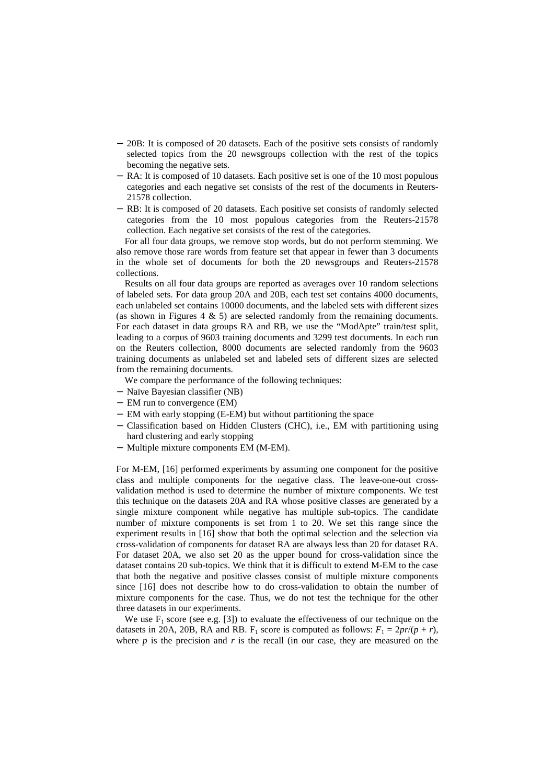- − 20B: It is composed of 20 datasets. Each of the positive sets consists of randomly selected topics from the 20 newsgroups collection with the rest of the topics becoming the negative sets.
- − RA: It is composed of 10 datasets. Each positive set is one of the 10 most populous categories and each negative set consists of the rest of the documents in Reuters-21578 collection.
- − RB: It is composed of 20 datasets. Each positive set consists of randomly selected categories from the 10 most populous categories from the Reuters-21578 collection. Each negative set consists of the rest of the categories.

For all four data groups, we remove stop words, but do not perform stemming. We also remove those rare words from feature set that appear in fewer than 3 documents in the whole set of documents for both the 20 newsgroups and Reuters-21578 collections.

Results on all four data groups are reported as averages over 10 random selections of labeled sets. For data group 20A and 20B, each test set contains 4000 documents, each unlabeled set contains 10000 documents, and the labeled sets with different sizes (as shown in Figures 4  $\&$  5) are selected randomly from the remaining documents. For each dataset in data groups RA and RB, we use the "ModApte" train/test split, leading to a corpus of 9603 training documents and 3299 test documents. In each run on the Reuters collection, 8000 documents are selected randomly from the 9603 training documents as unlabeled set and labeled sets of different sizes are selected from the remaining documents.

We compare the performance of the following techniques:

- − Naïve Bayesian classifier (NB)
- − EM run to convergence (EM)
- − EM with early stopping (E-EM) but without partitioning the space
- − Classification based on Hidden Clusters (CHC), i.e., EM with partitioning using hard clustering and early stopping
- − Multiple mixture components EM (M-EM).

For M-EM, [16] performed experiments by assuming one component for the positive class and multiple components for the negative class. The leave-one-out crossvalidation method is used to determine the number of mixture components. We test this technique on the datasets 20A and RA whose positive classes are generated by a single mixture component while negative has multiple sub-topics. The candidate number of mixture components is set from 1 to 20. We set this range since the experiment results in [16] show that both the optimal selection and the selection via cross-validation of components for dataset RA are always less than 20 for dataset RA. For dataset 20A, we also set 20 as the upper bound for cross-validation since the dataset contains 20 sub-topics. We think that it is difficult to extend M-EM to the case that both the negative and positive classes consist of multiple mixture components since [16] does not describe how to do cross-validation to obtain the number of mixture components for the case. Thus, we do not test the technique for the other three datasets in our experiments.

We use  $F_1$  score (see e.g. [3]) to evaluate the effectiveness of our technique on the datasets in 20A, 20B, RA and RB.  $F_1$  score is computed as follows:  $F_1 = 2pr/(p + r)$ , where  $p$  is the precision and  $r$  is the recall (in our case, they are measured on the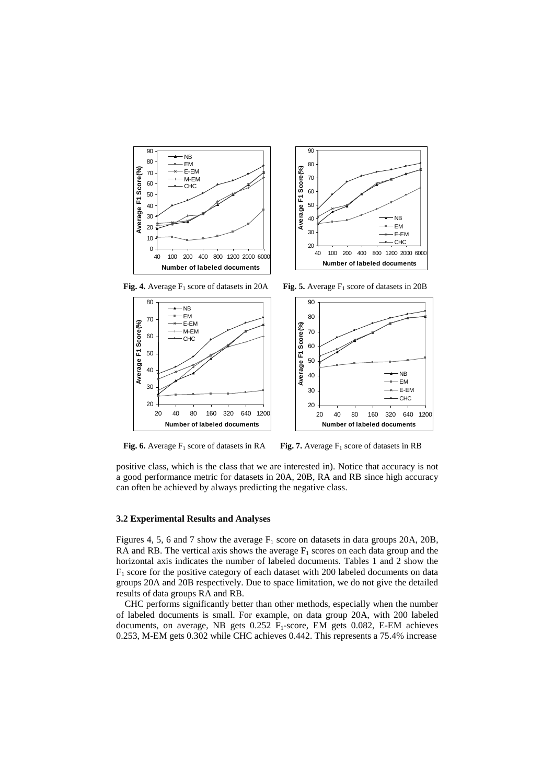









**Fig. 6.** Average  $F_1$  score of datasets in RA **Fig. 7.** Average  $F_1$  score of datasets in RB

positive class, which is the class that we are interested in). Notice that accuracy is not a good performance metric for datasets in 20A, 20B, RA and RB since high accuracy can often be achieved by always predicting the negative class.

## **3.2 Experimental Results and Analyses**

Figures 4, 5, 6 and 7 show the average  $F_1$  score on datasets in data groups 20A, 20B, RA and RB. The vertical axis shows the average  $F_1$  scores on each data group and the horizontal axis indicates the number of labeled documents. Tables 1 and 2 show the  $F_1$  score for the positive category of each dataset with 200 labeled documents on data groups 20A and 20B respectively. Due to space limitation, we do not give the detailed results of data groups RA and RB.

CHC performs significantly better than other methods, especially when the number of labeled documents is small. For example, on data group 20A, with 200 labeled documents, on average, NB gets  $0.252$  F<sub>1</sub>-score, EM gets  $0.082$ , E-EM achieves 0.253, M-EM gets 0.302 while CHC achieves 0.442. This represents a 75.4% increase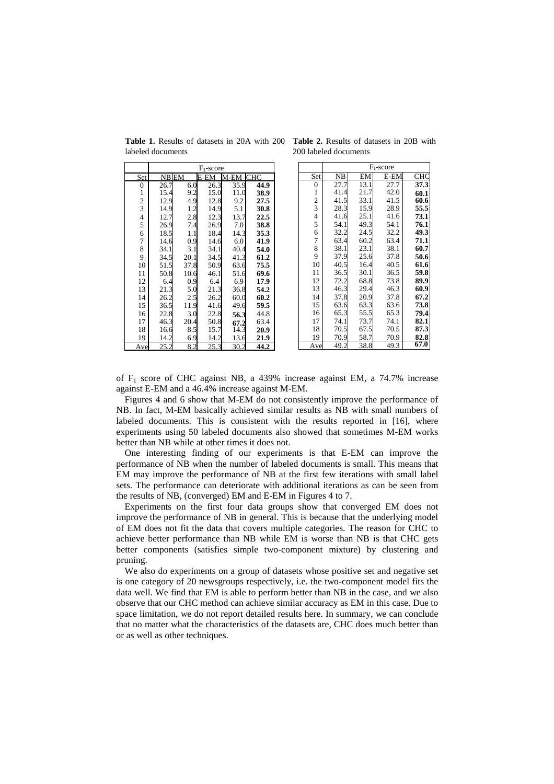|                         | $F_1$ -score |      |      |        |            |
|-------------------------|--------------|------|------|--------|------------|
| Set                     | NB EM        |      | E-EM | $M-EM$ | <b>CHC</b> |
| 0                       | 26.7         | 6.0  | 26.3 | 35.9   | 44.9       |
| $\mathbf{1}$            | 15.4         | 9.2  | 15.0 | 11.0   | 38.9       |
| $\overline{\mathbf{c}}$ | 12.9         | 4.9  | 12.8 | 9.2    | 27.5       |
| 3                       | 14.9         | 1.2  | 14.9 | 5.1    | 30.8       |
| 4                       | 12.7         | 2.8  | 12.3 | 13.7   | 22.5       |
| 5                       | 26.9         | 7.4  | 26.9 | 7.0    | 38.8       |
| 6                       | 18.5         | 1.1  | 18.4 | 14.3   | 35.3       |
| 7                       | 14.6         | 0.9  | 14.6 | 6.0    | 41.9       |
| 8                       | 34.1         | 3.1  | 34.1 | 40.4   | 54.0       |
| 9                       | 34.5         | 20.1 | 34.5 | 41.3   | 61.2       |
| 10                      | 51.5         | 37.8 | 50.9 | 63.6   | 75.5       |
| 11                      | 50.8         | 10.6 | 46.1 | 51.6   | 69.6       |
| 12                      | 6.4          | 0.9  | 6.4  | 6.9    | 17.9       |
| 13                      | 21.3         | 5.0  | 21.3 | 36.8   | 54.2       |
| 14                      | 26.2         | 2.5  | 26.2 | 60.0   | 60.2       |
| 15                      | 36.5         | 11.9 | 41.6 | 49.6   | 59.5       |
| 16                      | 22.8         | 3.0  | 22.8 | 56.3   | 44.8       |
| 17                      | 46.3         | 20.4 | 50.8 | 67.2   | 63.4       |
| 18                      | 16.6         | 8.5  | 15.7 | 14.3   | 20.9       |
| 19                      | 14.2         | 6.9  | 14.2 | 13.6   | 21.9       |
| Ave                     | 25.2         | 8.2  | 25.3 | 30.2   | 44.2       |

**Table 1.** Results of datasets in 20A with 200 Table 2. Results of datasets in 20B with labeled documents

|                         | $F_1$ -score |      |      |            |  |
|-------------------------|--------------|------|------|------------|--|
| Set                     | NB           | EM   | E-EM | <b>CHC</b> |  |
| 0                       | 27.7         | 13.1 | 27.7 | 37.3       |  |
| $\mathbf{1}$            | 41.4         | 21.7 | 42.0 | 60.1       |  |
| $\frac{2}{3}$           | 41.5         | 33.1 | 41.5 | 60.6       |  |
|                         | 28.3         | 15.9 | 28.9 | 55.5       |  |
| $\overline{\mathbf{4}}$ | 41.6         | 25.1 | 41.6 | 73.1       |  |
| 5                       | 54.1         | 49.3 | 54.1 | 76.1       |  |
| 6                       | 32.2         | 24.5 | 32.2 | 49.3       |  |
| $\overline{7}$          | 63.4         | 60.2 | 63.4 | 71.1       |  |
| 8                       | 38.1         | 23.1 | 38.1 | 60.7       |  |
| 9                       | 37.9         | 25.6 | 37.8 | 50.6       |  |
| 10                      | 40.5         | 16.4 | 40.5 | 61.6       |  |
| 11                      | 36.5         | 30.1 | 36.5 | 59.8       |  |
| 12                      | 72.2         | 68.8 | 73.8 | 89.9       |  |
| 13                      | 46.3         | 29.4 | 46.3 | 60.9       |  |
| 14                      | 37.8         | 20.9 | 37.8 | 67.2       |  |
| 15                      | 63.6         | 63.3 | 63.6 | 73.8       |  |
| 16                      | 65.3         | 55.5 | 65.3 | 79.4       |  |
| 17                      | 74.1         | 73.7 | 74.1 | 82.1       |  |
| 18                      | 70.5         | 67.5 | 70.5 | 87.3       |  |
| 19                      | 70.9         | 58.7 | 70.9 | 82.8       |  |
| Ave                     | 49.2         | 38.8 | 49.3 | 67.0       |  |

200 labeled documents

of  $F_1$  score of CHC against NB, a 439% increase against EM, a 74.7% increase against E-EM and a 46.4% increase against M-EM.

Figures 4 and 6 show that M-EM do not consistently improve the performance of NB. In fact, M-EM basically achieved similar results as NB with small numbers of labeled documents. This is consistent with the results reported in [16], where experiments using 50 labeled documents also showed that sometimes M-EM works better than NB while at other times it does not.

One interesting finding of our experiments is that E-EM can improve the performance of NB when the number of labeled documents is small. This means that EM may improve the performance of NB at the first few iterations with small label sets. The performance can deteriorate with additional iterations as can be seen from the results of NB, (converged) EM and E-EM in Figures 4 to 7.

Experiments on the first four data groups show that converged EM does not improve the performance of NB in general. This is because that the underlying model of EM does not fit the data that covers multiple categories. The reason for CHC to achieve better performance than NB while EM is worse than NB is that CHC gets better components (satisfies simple two-component mixture) by clustering and pruning.

We also do experiments on a group of datasets whose positive set and negative set is one category of 20 newsgroups respectively, i.e. the two-component model fits the data well. We find that EM is able to perform better than NB in the case, and we also observe that our CHC method can achieve similar accuracy as EM in this case. Due to space limitation, we do not report detailed results here. In summary, we can conclude that no matter what the characteristics of the datasets are, CHC does much better than or as well as other techniques.